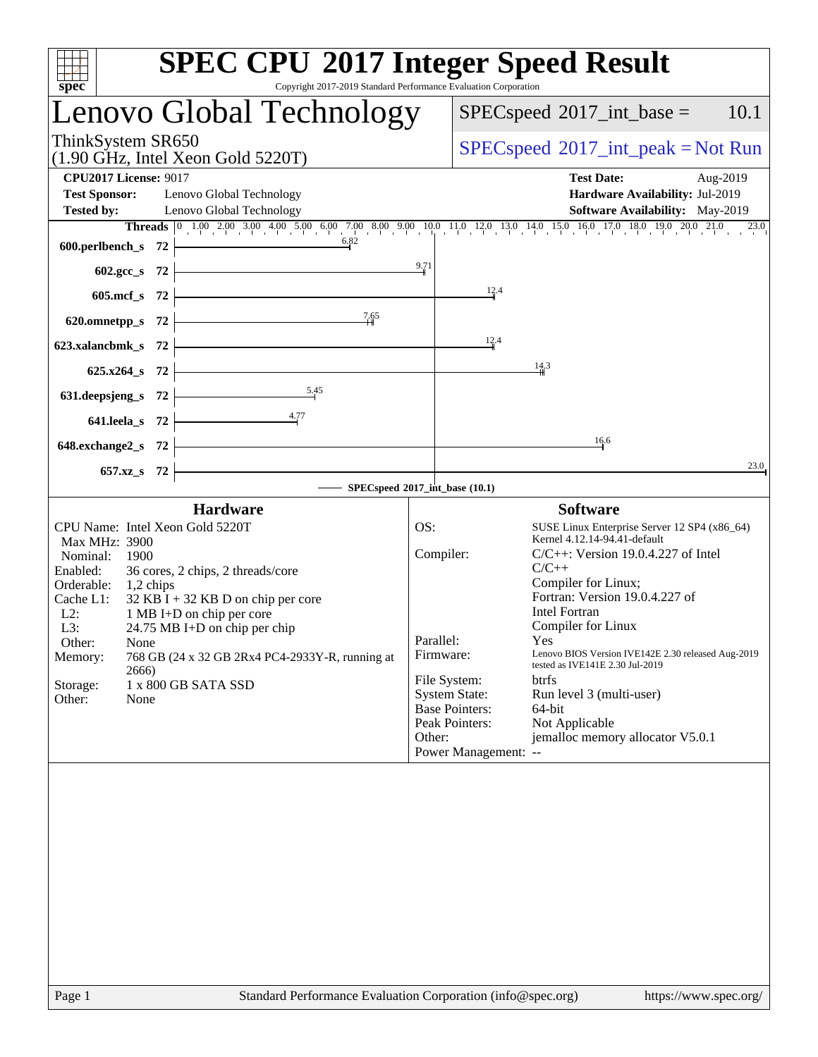| spec                                                                             | <b>SPEC CPU®2017 Integer Speed Result</b><br>Copyright 2017-2019 Standard Performance Evaluation Corporation                                                                                                                                        |
|----------------------------------------------------------------------------------|-----------------------------------------------------------------------------------------------------------------------------------------------------------------------------------------------------------------------------------------------------|
| Lenovo Global Technology                                                         | $SPEC speed^{\circ}2017\_int\_base =$<br>10.1                                                                                                                                                                                                       |
| ThinkSystem SR650<br>$(1.90 \text{ GHz}, \text{Intel Xeon Gold } 5220 \text{T})$ | $SPEC speed^{\circ}2017\_int\_peak = Not Run$                                                                                                                                                                                                       |
| <b>CPU2017 License: 9017</b>                                                     | <b>Test Date:</b><br>Aug-2019                                                                                                                                                                                                                       |
| <b>Test Sponsor:</b><br>Lenovo Global Technology                                 | Hardware Availability: Jul-2019                                                                                                                                                                                                                     |
| <b>Tested by:</b><br>Lenovo Global Technology                                    | <b>Software Availability:</b> May-2019                                                                                                                                                                                                              |
| 600.perlbench_s $72$                                                             | Threads $\begin{bmatrix} 0 & 1.00 & 2.00 & 3.00 & 4.00 & 5.00 & 6.00 & 7.00 & 8.00 & 9.00 & 10.0 & 11.0 & 12.0 & 13.0 & 14.0 & 15.0 & 16.0 & 17.0 & 18.0 & 19.0 & 20.0 & 21.0 & 23.0 \\ 0.82 & 0 & 0 & 0 & 0 & 0 & 0 & 0 & 0 & 0 & 0 \end{bmatrix}$ |
| $602.\text{sec}\_\text{S}$ 72                                                    | 9.71                                                                                                                                                                                                                                                |
| $605.\text{mcf}_s$ 72                                                            | 12.4                                                                                                                                                                                                                                                |
| 620.omnetpp_s 72 $\overline{ )}$ 7.65                                            |                                                                                                                                                                                                                                                     |
| 623.xalancbmk_s 72 $\vdash$                                                      | 12.4                                                                                                                                                                                                                                                |
| $625.x264_s$ 72                                                                  | 14.3                                                                                                                                                                                                                                                |
| 631.deepsjeng_s 72 $\overbrace{\qquad \qquad }^{5.45}$                           |                                                                                                                                                                                                                                                     |
| 641.leela_s 72 $\frac{4.77}{ }$                                                  |                                                                                                                                                                                                                                                     |
| $648$ .exchange2_s $72$ $\overline{\phantom{a}}$                                 | 16.6                                                                                                                                                                                                                                                |
| <u> 1989 - Johann Barbara, martin a</u><br>$657.xz$ <sub>8</sub> 72              | 23.0                                                                                                                                                                                                                                                |
|                                                                                  | SPECspeed®2017_int_base (10.1)                                                                                                                                                                                                                      |
| <b>Hardware</b>                                                                  | <b>Software</b>                                                                                                                                                                                                                                     |
| CPU Name: Intel Xeon Gold 5220T<br>Max MHz: 3900                                 | OS:<br>SUSE Linux Enterprise Server 12 SP4 (x86_64)<br>Kernel 4.12.14-94.41-default                                                                                                                                                                 |
| Nominal:<br>1900                                                                 | Compiler:<br>$C/C++$ : Version 19.0.4.227 of Intel                                                                                                                                                                                                  |
| Enabled:<br>36 cores, 2 chips, 2 threads/core                                    | $C/C++$                                                                                                                                                                                                                                             |
| Orderable: 1,2 chips<br>Cache L1:<br>$32$ KB I + 32 KB D on chip per core        | Compiler for Linux;<br>Fortran: Version 19.0.4.227 of                                                                                                                                                                                               |
| $L2$ :<br>1 MB I+D on chip per core                                              | <b>Intel Fortran</b>                                                                                                                                                                                                                                |
| 24.75 MB I+D on chip per chip<br>L3:                                             | Compiler for Linux                                                                                                                                                                                                                                  |
| Other:<br>None<br>768 GB (24 x 32 GB 2Rx4 PC4-2933Y-R, running at<br>Memory:     | Parallel:<br>Yes<br>Lenovo BIOS Version IVE142E 2.30 released Aug-2019<br>Firmware:<br>tested as IVE141E 2.30 Jul-2019                                                                                                                              |
| 2666)<br>Storage:<br>1 x 800 GB SATA SSD                                         | File System:<br><b>btrfs</b>                                                                                                                                                                                                                        |
| Other:<br>None                                                                   | <b>System State:</b><br>Run level 3 (multi-user)                                                                                                                                                                                                    |
|                                                                                  | <b>Base Pointers:</b><br>64-bit<br>Peak Pointers:<br>Not Applicable                                                                                                                                                                                 |
|                                                                                  | jemalloc memory allocator V5.0.1<br>Other:<br>Power Management: --                                                                                                                                                                                  |
|                                                                                  |                                                                                                                                                                                                                                                     |
|                                                                                  |                                                                                                                                                                                                                                                     |
|                                                                                  |                                                                                                                                                                                                                                                     |
|                                                                                  |                                                                                                                                                                                                                                                     |
|                                                                                  |                                                                                                                                                                                                                                                     |
|                                                                                  |                                                                                                                                                                                                                                                     |
|                                                                                  |                                                                                                                                                                                                                                                     |
|                                                                                  |                                                                                                                                                                                                                                                     |
|                                                                                  |                                                                                                                                                                                                                                                     |
|                                                                                  |                                                                                                                                                                                                                                                     |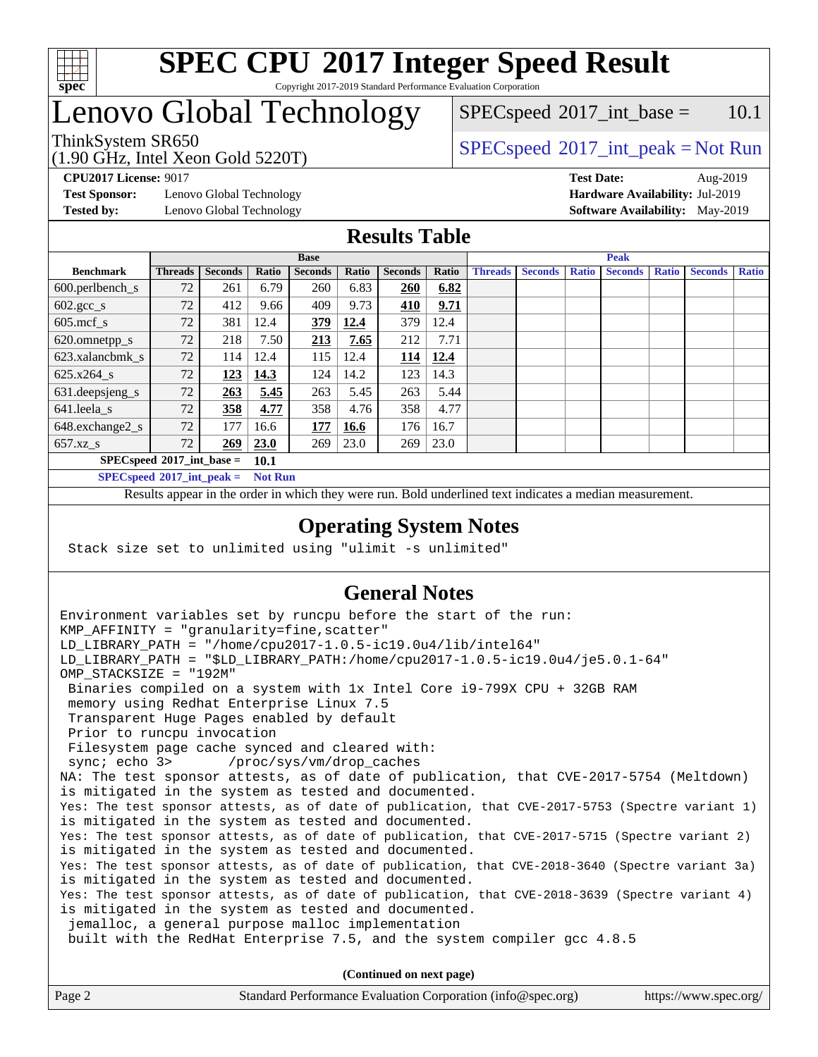

### **[SPEC CPU](http://www.spec.org/auto/cpu2017/Docs/result-fields.html#SPECCPU2017IntegerSpeedResult)[2017 Integer Speed Result](http://www.spec.org/auto/cpu2017/Docs/result-fields.html#SPECCPU2017IntegerSpeedResult)** Copyright 2017-2019 Standard Performance Evaluation Corporation

# Lenovo Global Technology

(1.90 GHz, Intel Xeon Gold 5220T)

 $SPECspeed^{\circ}2017\_int\_base = 10.1$  $SPECspeed^{\circ}2017\_int\_base = 10.1$ 

## ThinkSystem SR650<br>  $\begin{array}{c}\n\text{SPEC speed} \textdegree 2017\_int\_peak = Not Run\n\end{array}$

**[Test Sponsor:](http://www.spec.org/auto/cpu2017/Docs/result-fields.html#TestSponsor)** Lenovo Global Technology **[Hardware Availability:](http://www.spec.org/auto/cpu2017/Docs/result-fields.html#HardwareAvailability)** Jul-2019

**[CPU2017 License:](http://www.spec.org/auto/cpu2017/Docs/result-fields.html#CPU2017License)** 9017 **[Test Date:](http://www.spec.org/auto/cpu2017/Docs/result-fields.html#TestDate)** Aug-2019 **[Tested by:](http://www.spec.org/auto/cpu2017/Docs/result-fields.html#Testedby)** Lenovo Global Technology **[Software Availability:](http://www.spec.org/auto/cpu2017/Docs/result-fields.html#SoftwareAvailability)** May-2019

## **[Results Table](http://www.spec.org/auto/cpu2017/Docs/result-fields.html#ResultsTable)**

|                                            | <b>Base</b>    |                |       |                | <b>Peak</b> |                |       |                |                |              |                |              |                |              |
|--------------------------------------------|----------------|----------------|-------|----------------|-------------|----------------|-------|----------------|----------------|--------------|----------------|--------------|----------------|--------------|
| <b>Benchmark</b>                           | <b>Threads</b> | <b>Seconds</b> | Ratio | <b>Seconds</b> | Ratio       | <b>Seconds</b> | Ratio | <b>Threads</b> | <b>Seconds</b> | <b>Ratio</b> | <b>Seconds</b> | <b>Ratio</b> | <b>Seconds</b> | <b>Ratio</b> |
| 600.perlbench_s                            | 72             | 261            | 6.79  | 260            | 6.83        | 260            | 6.82  |                |                |              |                |              |                |              |
| $602.\text{gcc}\_\text{s}$                 | 72             | 412            | 9.66  | 409            | 9.73        | 410            | 9.71  |                |                |              |                |              |                |              |
| $605$ .mcf s                               | 72             | 381            | 12.4  | 379            | 12.4        | 379            | 12.4  |                |                |              |                |              |                |              |
| 620.omnetpp_s                              | 72             | 218            | 7.50  | 213            | 7.65        | 212            | 7.71  |                |                |              |                |              |                |              |
| 623.xalancbmk s                            | 72             | 114            | 12.4  | 115            | 12.4        | 114            | 12.4  |                |                |              |                |              |                |              |
| 625.x264 s                                 | 72             | 123            | 14.3  | 124            | 14.2        | 123            | 14.3  |                |                |              |                |              |                |              |
| 631.deepsjeng_s                            | 72             | 263            | 5.45  | 263            | 5.45        | 263            | 5.44  |                |                |              |                |              |                |              |
| 641.leela s                                | 72             | 358            | 4.77  | 358            | 4.76        | 358            | 4.77  |                |                |              |                |              |                |              |
| 648.exchange2_s                            | 72             | 177            | 16.6  | 177            | 16.6        | 176            | 16.7  |                |                |              |                |              |                |              |
| $657.xz$ <sub>S</sub>                      | 72             | 269            | 23.0  | 269            | 23.0        | 269            | 23.0  |                |                |              |                |              |                |              |
| $SPECspeed*2017$ int base =<br><b>10.1</b> |                |                |       |                |             |                |       |                |                |              |                |              |                |              |

**[SPECspeed](http://www.spec.org/auto/cpu2017/Docs/result-fields.html#SPECspeed2017intpeak)[2017\\_int\\_peak =](http://www.spec.org/auto/cpu2017/Docs/result-fields.html#SPECspeed2017intpeak) Not Run**

Results appear in the [order in which they were run.](http://www.spec.org/auto/cpu2017/Docs/result-fields.html#RunOrder) Bold underlined text [indicates a median measurement.](http://www.spec.org/auto/cpu2017/Docs/result-fields.html#Median)

## **[Operating System Notes](http://www.spec.org/auto/cpu2017/Docs/result-fields.html#OperatingSystemNotes)**

Stack size set to unlimited using "ulimit -s unlimited"

## **[General Notes](http://www.spec.org/auto/cpu2017/Docs/result-fields.html#GeneralNotes)**

Environment variables set by runcpu before the start of the run:  $KMP$  AFFINITY = "granularity=fine, scatter" LD\_LIBRARY\_PATH = "/home/cpu2017-1.0.5-ic19.0u4/lib/intel64" LD\_LIBRARY\_PATH = "\$LD\_LIBRARY\_PATH:/home/cpu2017-1.0.5-ic19.0u4/je5.0.1-64" OMP\_STACKSIZE = "192M" Binaries compiled on a system with 1x Intel Core i9-799X CPU + 32GB RAM memory using Redhat Enterprise Linux 7.5 Transparent Huge Pages enabled by default Prior to runcpu invocation Filesystem page cache synced and cleared with: sync; echo 3> /proc/sys/vm/drop\_caches NA: The test sponsor attests, as of date of publication, that CVE-2017-5754 (Meltdown) is mitigated in the system as tested and documented. Yes: The test sponsor attests, as of date of publication, that CVE-2017-5753 (Spectre variant 1) is mitigated in the system as tested and documented. Yes: The test sponsor attests, as of date of publication, that CVE-2017-5715 (Spectre variant 2) is mitigated in the system as tested and documented. Yes: The test sponsor attests, as of date of publication, that CVE-2018-3640 (Spectre variant 3a) is mitigated in the system as tested and documented. Yes: The test sponsor attests, as of date of publication, that CVE-2018-3639 (Spectre variant 4) is mitigated in the system as tested and documented. jemalloc, a general purpose malloc implementation built with the RedHat Enterprise 7.5, and the system compiler gcc 4.8.5 **(Continued on next page)**

| Page 2 | Standard Performance Evaluation Corporation (info@spec.org) | https://www.spec.org/ |
|--------|-------------------------------------------------------------|-----------------------|
|--------|-------------------------------------------------------------|-----------------------|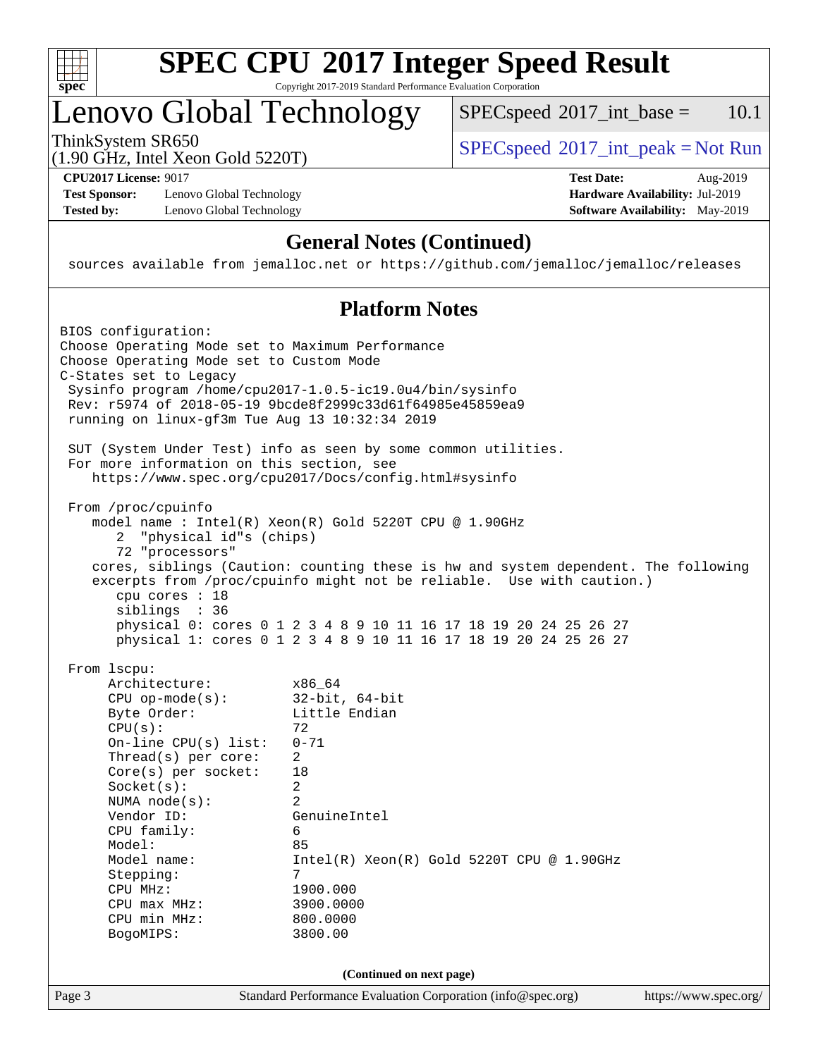

## **[SPEC CPU](http://www.spec.org/auto/cpu2017/Docs/result-fields.html#SPECCPU2017IntegerSpeedResult)[2017 Integer Speed Result](http://www.spec.org/auto/cpu2017/Docs/result-fields.html#SPECCPU2017IntegerSpeedResult)** Copyright 2017-2019 Standard Performance Evaluation Corporation

# Lenovo Global Technology

 $SPECspeed^{\circledcirc}2017\_int\_base = 10.1$  $SPECspeed^{\circledcirc}2017\_int\_base = 10.1$ 

(1.90 GHz, Intel Xeon Gold 5220T)

ThinkSystem SR650<br>(1.00 GHz, Intel Year Gald 5220T) [SPECspeed](http://www.spec.org/auto/cpu2017/Docs/result-fields.html#SPECspeed2017intpeak)<sup>®</sup>[2017\\_int\\_peak = N](http://www.spec.org/auto/cpu2017/Docs/result-fields.html#SPECspeed2017intpeak)ot Run

**[Test Sponsor:](http://www.spec.org/auto/cpu2017/Docs/result-fields.html#TestSponsor)** Lenovo Global Technology **[Hardware Availability:](http://www.spec.org/auto/cpu2017/Docs/result-fields.html#HardwareAvailability)** Jul-2019 **[Tested by:](http://www.spec.org/auto/cpu2017/Docs/result-fields.html#Testedby)** Lenovo Global Technology **[Software Availability:](http://www.spec.org/auto/cpu2017/Docs/result-fields.html#SoftwareAvailability)** May-2019

**[CPU2017 License:](http://www.spec.org/auto/cpu2017/Docs/result-fields.html#CPU2017License)** 9017 **[Test Date:](http://www.spec.org/auto/cpu2017/Docs/result-fields.html#TestDate)** Aug-2019

## **[General Notes \(Continued\)](http://www.spec.org/auto/cpu2017/Docs/result-fields.html#GeneralNotes)**

sources available from jemalloc.net or <https://github.com/jemalloc/jemalloc/releases>

## **[Platform Notes](http://www.spec.org/auto/cpu2017/Docs/result-fields.html#PlatformNotes)**

| Page 3 |                                                                                                                                                                                                                                                                                                                 | Standard Performance Evaluation Corporation (info@spec.org)                                                                                                                                                                                                                                                                                                       | https://www.spec.org/ |
|--------|-----------------------------------------------------------------------------------------------------------------------------------------------------------------------------------------------------------------------------------------------------------------------------------------------------------------|-------------------------------------------------------------------------------------------------------------------------------------------------------------------------------------------------------------------------------------------------------------------------------------------------------------------------------------------------------------------|-----------------------|
|        |                                                                                                                                                                                                                                                                                                                 | (Continued on next page)                                                                                                                                                                                                                                                                                                                                          |                       |
|        | BogoMIPS:                                                                                                                                                                                                                                                                                                       | 3800.00                                                                                                                                                                                                                                                                                                                                                           |                       |
|        | From 1scpu:<br>Architecture:<br>$CPU$ op-mode( $s$ ):<br>Byte Order:<br>CPU(s):<br>$On$ -line CPU(s) list:<br>$Thread(s)$ per core:<br>Core(s) per socket:<br>Socket(s):<br>NUMA $node(s):$<br>Vendor ID:<br>CPU family:<br>Model:<br>Model name:<br>Stepping:<br>CPU MHz:<br>$CPU$ max $MHz$ :<br>CPU min MHz: | x86 64<br>$32$ -bit, $64$ -bit<br>Little Endian<br>72<br>$0 - 71$<br>2<br>18<br>$\overline{a}$<br>$\overline{2}$<br>GenuineIntel<br>6<br>85<br>$Intel(R)$ Xeon $(R)$ Gold 5220T CPU @ 1.90GHz<br>7<br>1900.000<br>3900.0000<br>800.0000                                                                                                                           |                       |
|        | From /proc/cpuinfo<br>"physical id"s (chips)<br>$\mathbf{2}$<br>72 "processors"<br>cpu cores : 18<br>siblings : 36                                                                                                                                                                                              | model name: $Intel(R)$ Xeon $(R)$ Gold 5220T CPU @ 1.90GHz<br>cores, siblings (Caution: counting these is hw and system dependent. The following<br>excerpts from /proc/cpuinfo might not be reliable. Use with caution.)<br>physical 0: cores 0 1 2 3 4 8 9 10 11 16 17 18 19 20 24 25 26 27<br>physical 1: cores 0 1 2 3 4 8 9 10 11 16 17 18 19 20 24 25 26 27 |                       |
|        | For more information on this section, see                                                                                                                                                                                                                                                                       | SUT (System Under Test) info as seen by some common utilities.<br>https://www.spec.org/cpu2017/Docs/config.html#sysinfo                                                                                                                                                                                                                                           |                       |
|        | BIOS configuration:<br>Choose Operating Mode set to Maximum Performance<br>Choose Operating Mode set to Custom Mode<br>C-States set to Legacy<br>running on linux-gf3m Tue Aug 13 10:32:34 2019                                                                                                                 | Sysinfo program /home/cpu2017-1.0.5-ic19.0u4/bin/sysinfo<br>Rev: r5974 of 2018-05-19 9bcde8f2999c33d61f64985e45859ea9                                                                                                                                                                                                                                             |                       |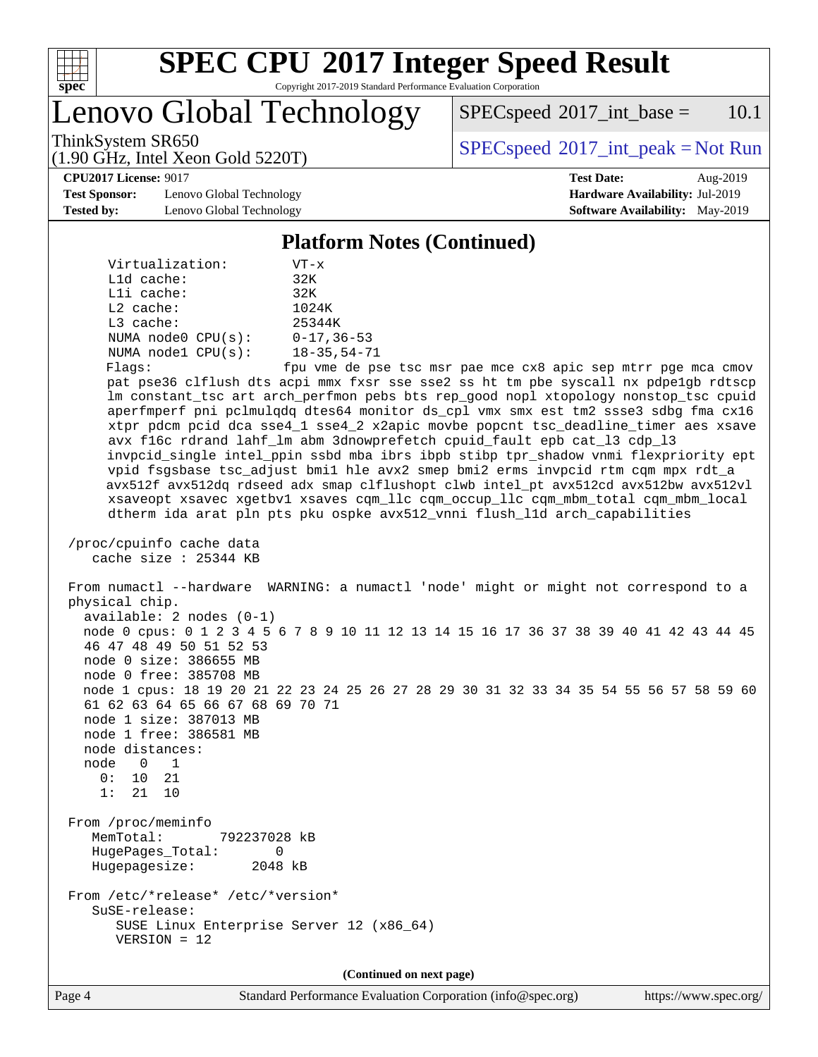

# **[SPEC CPU](http://www.spec.org/auto/cpu2017/Docs/result-fields.html#SPECCPU2017IntegerSpeedResult)[2017 Integer Speed Result](http://www.spec.org/auto/cpu2017/Docs/result-fields.html#SPECCPU2017IntegerSpeedResult)**

Copyright 2017-2019 Standard Performance Evaluation Corporation

Lenovo Global Technology

 $SPEC speed^{\circ}2017\_int\_base = 10.1$ 

ThinkSystem SR650<br>  $\begin{array}{c}\n\text{SPEC speed} \textdegree 2017\_int\_peak = Not Run\n\end{array}$ 

**[CPU2017 License:](http://www.spec.org/auto/cpu2017/Docs/result-fields.html#CPU2017License)** 9017 **[Test Date:](http://www.spec.org/auto/cpu2017/Docs/result-fields.html#TestDate)** Aug-2019

**[Test Sponsor:](http://www.spec.org/auto/cpu2017/Docs/result-fields.html#TestSponsor)** Lenovo Global Technology **[Hardware Availability:](http://www.spec.org/auto/cpu2017/Docs/result-fields.html#HardwareAvailability)** Jul-2019 **[Tested by:](http://www.spec.org/auto/cpu2017/Docs/result-fields.html#Testedby)** Lenovo Global Technology **[Software Availability:](http://www.spec.org/auto/cpu2017/Docs/result-fields.html#SoftwareAvailability)** May-2019

(1.90 GHz, Intel Xeon Gold 5220T)

**[Platform Notes \(Continued\)](http://www.spec.org/auto/cpu2017/Docs/result-fields.html#PlatformNotes)**

| Virtualization:         | $VT - x$           |
|-------------------------|--------------------|
| L1d cache:              | 32K                |
| $L1i$ cache:            | 32K                |
| $L2$ cache:             | 1024K              |
| $L3$ cache:             | 25344K             |
| NUMA node0 CPU(s):      | $0 - 17, 36 - 53$  |
| NUMA $node1$ $CPU(s)$ : | $18 - 35, 54 - 71$ |
| Flaqs:                  | fpu vme de ps      |

e tsc msr pae mce cx8 apic sep mtrr pge mca cmov pat pse36 clflush dts acpi mmx fxsr sse sse2 ss ht tm pbe syscall nx pdpe1gb rdtscp lm constant\_tsc art arch\_perfmon pebs bts rep\_good nopl xtopology nonstop\_tsc cpuid aperfmperf pni pclmulqdq dtes64 monitor ds\_cpl vmx smx est tm2 ssse3 sdbg fma cx16 xtpr pdcm pcid dca sse4\_1 sse4\_2 x2apic movbe popcnt tsc\_deadline\_timer aes xsave avx f16c rdrand lahf\_lm abm 3dnowprefetch cpuid\_fault epb cat\_l3 cdp\_l3 invpcid\_single intel\_ppin ssbd mba ibrs ibpb stibp tpr\_shadow vnmi flexpriority ept vpid fsgsbase tsc\_adjust bmi1 hle avx2 smep bmi2 erms invpcid rtm cqm mpx rdt\_a avx512f avx512dq rdseed adx smap clflushopt clwb intel\_pt avx512cd avx512bw avx512vl xsaveopt xsavec xgetbv1 xsaves cqm\_llc cqm\_occup\_llc cqm\_mbm\_total cqm\_mbm\_local dtherm ida arat pln pts pku ospke avx512\_vnni flush\_l1d arch\_capabilities

 /proc/cpuinfo cache data cache size : 25344 KB

 From numactl --hardware WARNING: a numactl 'node' might or might not correspond to a physical chip. available: 2 nodes (0-1) node 0 cpus: 0 1 2 3 4 5 6 7 8 9 10 11 12 13 14 15 16 17 36 37 38 39 40 41 42 43 44 45 46 47 48 49 50 51 52 53 node 0 size: 386655 MB node 0 free: 385708 MB node 1 cpus: 18 19 20 21 22 23 24 25 26 27 28 29 30 31 32 33 34 35 54 55 56 57 58 59 60 61 62 63 64 65 66 67 68 69 70 71 node 1 size: 387013 MB node 1 free: 386581 MB node distances: node 0 1 0: 10 21 1: 21 10 From /proc/meminfo MemTotal: 792237028 kB HugePages\_Total: 0 Hugepagesize: 2048 kB From /etc/\*release\* /etc/\*version\* SuSE-release:

 SUSE Linux Enterprise Server 12 (x86\_64) VERSION = 12

**(Continued on next page)**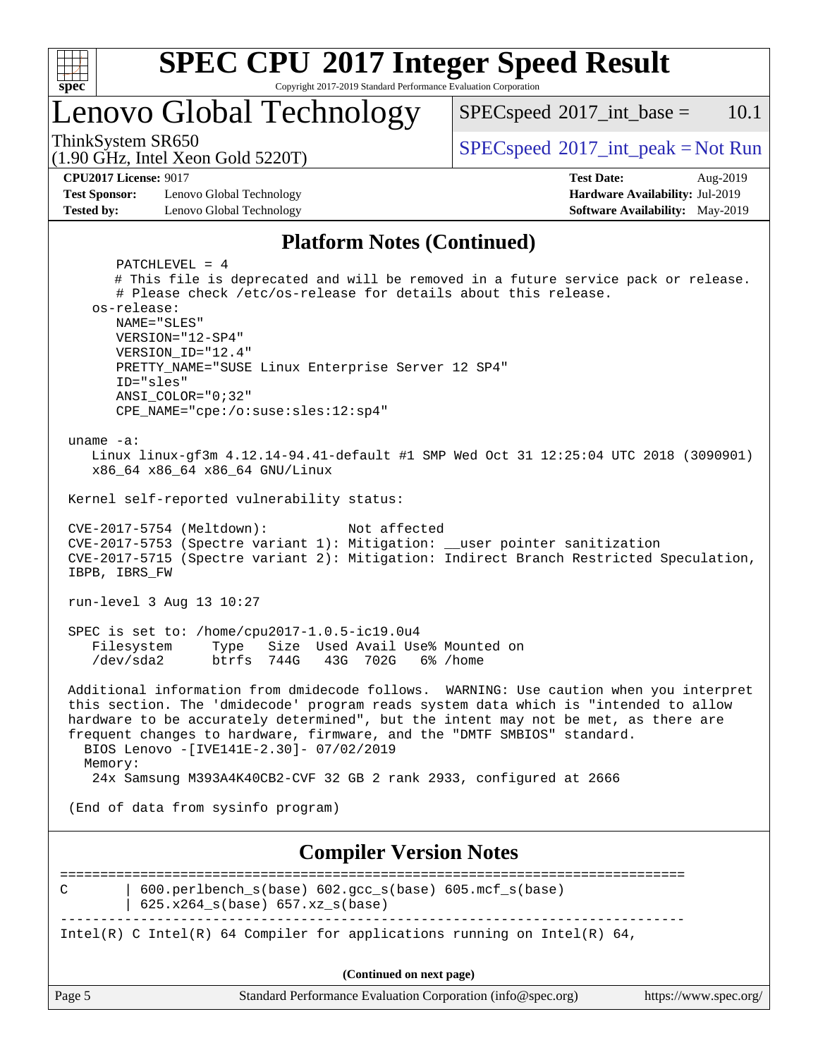

# **[SPEC CPU](http://www.spec.org/auto/cpu2017/Docs/result-fields.html#SPECCPU2017IntegerSpeedResult)[2017 Integer Speed Result](http://www.spec.org/auto/cpu2017/Docs/result-fields.html#SPECCPU2017IntegerSpeedResult)**

Copyright 2017-2019 Standard Performance Evaluation Corporation

Lenovo Global Technology

 $SPECspeed^{\circledcirc}2017\_int\_base = 10.1$  $SPECspeed^{\circledcirc}2017\_int\_base = 10.1$ 

(1.90 GHz, Intel Xeon Gold 5220T)

ThinkSystem SR650<br>(1.00 GHz, Intel Year Gald 5220T) [SPECspeed](http://www.spec.org/auto/cpu2017/Docs/result-fields.html#SPECspeed2017intpeak)<sup>®</sup>[2017\\_int\\_peak = N](http://www.spec.org/auto/cpu2017/Docs/result-fields.html#SPECspeed2017intpeak)ot Run

**[Test Sponsor:](http://www.spec.org/auto/cpu2017/Docs/result-fields.html#TestSponsor)** Lenovo Global Technology **[Hardware Availability:](http://www.spec.org/auto/cpu2017/Docs/result-fields.html#HardwareAvailability)** Jul-2019 **[Tested by:](http://www.spec.org/auto/cpu2017/Docs/result-fields.html#Testedby)** Lenovo Global Technology **[Software Availability:](http://www.spec.org/auto/cpu2017/Docs/result-fields.html#SoftwareAvailability)** May-2019

**[CPU2017 License:](http://www.spec.org/auto/cpu2017/Docs/result-fields.html#CPU2017License)** 9017 **[Test Date:](http://www.spec.org/auto/cpu2017/Docs/result-fields.html#TestDate)** Aug-2019

### **[Platform Notes \(Continued\)](http://www.spec.org/auto/cpu2017/Docs/result-fields.html#PlatformNotes)**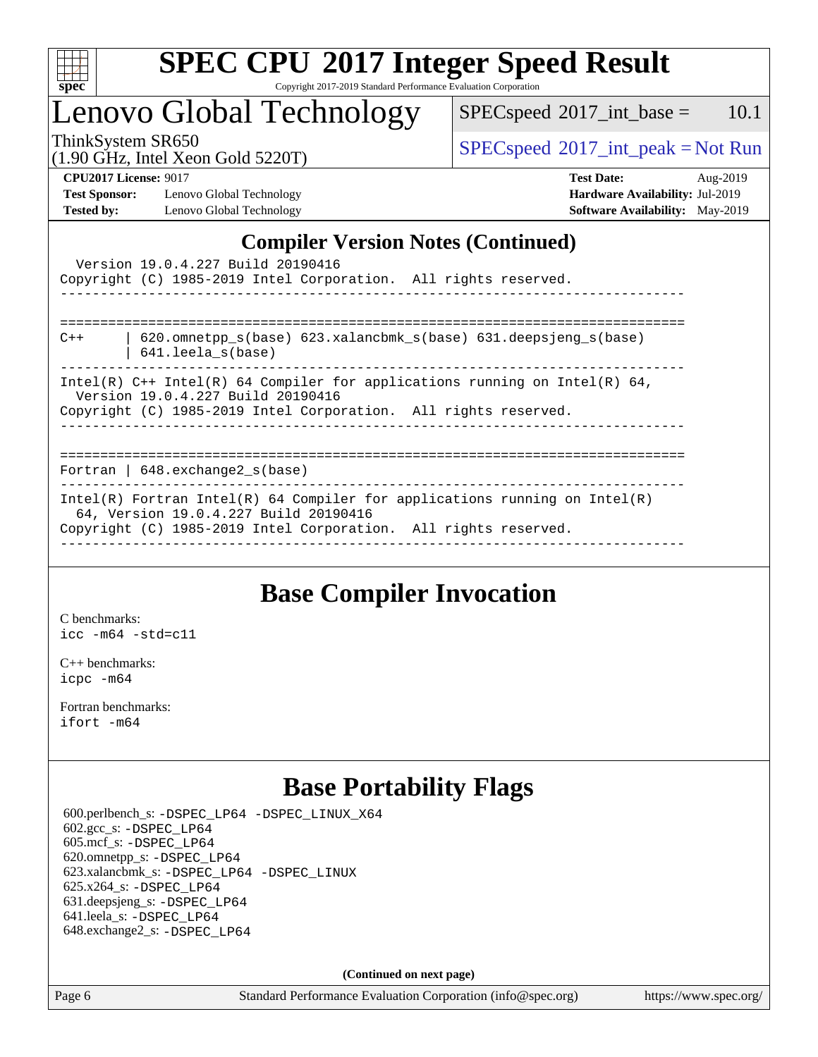

# **[SPEC CPU](http://www.spec.org/auto/cpu2017/Docs/result-fields.html#SPECCPU2017IntegerSpeedResult)[2017 Integer Speed Result](http://www.spec.org/auto/cpu2017/Docs/result-fields.html#SPECCPU2017IntegerSpeedResult)**

Copyright 2017-2019 Standard Performance Evaluation Corporation

# Lenovo Global Technology

 $SPECspeed^{\circ}2017\_int\_base = 10.1$  $SPECspeed^{\circ}2017\_int\_base = 10.1$ 

(1.90 GHz, Intel Xeon Gold 5220T)

ThinkSystem SR650<br>(1.00 GHz, Intel Year Gold 5220T) [SPECspeed](http://www.spec.org/auto/cpu2017/Docs/result-fields.html#SPECspeed2017intpeak)<sup>®</sup>[2017\\_int\\_peak = N](http://www.spec.org/auto/cpu2017/Docs/result-fields.html#SPECspeed2017intpeak)ot Run

**[Test Sponsor:](http://www.spec.org/auto/cpu2017/Docs/result-fields.html#TestSponsor)** Lenovo Global Technology **[Hardware Availability:](http://www.spec.org/auto/cpu2017/Docs/result-fields.html#HardwareAvailability)** Jul-2019 **[Tested by:](http://www.spec.org/auto/cpu2017/Docs/result-fields.html#Testedby)** Lenovo Global Technology **[Software Availability:](http://www.spec.org/auto/cpu2017/Docs/result-fields.html#SoftwareAvailability)** May-2019

**[CPU2017 License:](http://www.spec.org/auto/cpu2017/Docs/result-fields.html#CPU2017License)** 9017 **[Test Date:](http://www.spec.org/auto/cpu2017/Docs/result-fields.html#TestDate)** Aug-2019

## **[Compiler Version Notes \(Continued\)](http://www.spec.org/auto/cpu2017/Docs/result-fields.html#CompilerVersionNotes)**

|       | Version 19.0.4.227 Build 20190416<br>Copyright (C) 1985-2019 Intel Corporation. All rights reserved.<br>_____________________________________                                          |
|-------|----------------------------------------------------------------------------------------------------------------------------------------------------------------------------------------|
| $C++$ | 620.omnetpp $s(base)$ 623.xalancbmk $s(base)$ 631.deepsjeng $s(base)$<br>$641.$ leela $s(base)$                                                                                        |
|       | Intel(R) $C++$ Intel(R) 64 Compiler for applications running on Intel(R) 64,<br>Version 19.0.4.227 Build 20190416<br>Copyright (C) 1985-2019 Intel Corporation. All rights reserved.   |
|       | Fortran   $648$ . exchange2 $s$ (base)                                                                                                                                                 |
|       | Intel(R) Fortran Intel(R) 64 Compiler for applications running on Intel(R)<br>64, Version 19.0.4.227 Build 20190416<br>Copyright (C) 1985-2019 Intel Corporation. All rights reserved. |

## **[Base Compiler Invocation](http://www.spec.org/auto/cpu2017/Docs/result-fields.html#BaseCompilerInvocation)**

[C benchmarks](http://www.spec.org/auto/cpu2017/Docs/result-fields.html#Cbenchmarks): [icc -m64 -std=c11](http://www.spec.org/cpu2017/results/res2019q4/cpu2017-20190926-18690.flags.html#user_CCbase_intel_icc_64bit_c11_33ee0cdaae7deeeab2a9725423ba97205ce30f63b9926c2519791662299b76a0318f32ddfffdc46587804de3178b4f9328c46fa7c2b0cd779d7a61945c91cd35)

[C++ benchmarks:](http://www.spec.org/auto/cpu2017/Docs/result-fields.html#CXXbenchmarks) [icpc -m64](http://www.spec.org/cpu2017/results/res2019q4/cpu2017-20190926-18690.flags.html#user_CXXbase_intel_icpc_64bit_4ecb2543ae3f1412ef961e0650ca070fec7b7afdcd6ed48761b84423119d1bf6bdf5cad15b44d48e7256388bc77273b966e5eb805aefd121eb22e9299b2ec9d9)

[Fortran benchmarks](http://www.spec.org/auto/cpu2017/Docs/result-fields.html#Fortranbenchmarks): [ifort -m64](http://www.spec.org/cpu2017/results/res2019q4/cpu2017-20190926-18690.flags.html#user_FCbase_intel_ifort_64bit_24f2bb282fbaeffd6157abe4f878425411749daecae9a33200eee2bee2fe76f3b89351d69a8130dd5949958ce389cf37ff59a95e7a40d588e8d3a57e0c3fd751)

## **[Base Portability Flags](http://www.spec.org/auto/cpu2017/Docs/result-fields.html#BasePortabilityFlags)**

 600.perlbench\_s: [-DSPEC\\_LP64](http://www.spec.org/cpu2017/results/res2019q4/cpu2017-20190926-18690.flags.html#b600.perlbench_s_basePORTABILITY_DSPEC_LP64) [-DSPEC\\_LINUX\\_X64](http://www.spec.org/cpu2017/results/res2019q4/cpu2017-20190926-18690.flags.html#b600.perlbench_s_baseCPORTABILITY_DSPEC_LINUX_X64) 602.gcc\_s: [-DSPEC\\_LP64](http://www.spec.org/cpu2017/results/res2019q4/cpu2017-20190926-18690.flags.html#suite_basePORTABILITY602_gcc_s_DSPEC_LP64) 605.mcf\_s: [-DSPEC\\_LP64](http://www.spec.org/cpu2017/results/res2019q4/cpu2017-20190926-18690.flags.html#suite_basePORTABILITY605_mcf_s_DSPEC_LP64) 620.omnetpp\_s: [-DSPEC\\_LP64](http://www.spec.org/cpu2017/results/res2019q4/cpu2017-20190926-18690.flags.html#suite_basePORTABILITY620_omnetpp_s_DSPEC_LP64) 623.xalancbmk\_s: [-DSPEC\\_LP64](http://www.spec.org/cpu2017/results/res2019q4/cpu2017-20190926-18690.flags.html#suite_basePORTABILITY623_xalancbmk_s_DSPEC_LP64) [-DSPEC\\_LINUX](http://www.spec.org/cpu2017/results/res2019q4/cpu2017-20190926-18690.flags.html#b623.xalancbmk_s_baseCXXPORTABILITY_DSPEC_LINUX) 625.x264\_s: [-DSPEC\\_LP64](http://www.spec.org/cpu2017/results/res2019q4/cpu2017-20190926-18690.flags.html#suite_basePORTABILITY625_x264_s_DSPEC_LP64) 631.deepsjeng\_s: [-DSPEC\\_LP64](http://www.spec.org/cpu2017/results/res2019q4/cpu2017-20190926-18690.flags.html#suite_basePORTABILITY631_deepsjeng_s_DSPEC_LP64) 641.leela\_s: [-DSPEC\\_LP64](http://www.spec.org/cpu2017/results/res2019q4/cpu2017-20190926-18690.flags.html#suite_basePORTABILITY641_leela_s_DSPEC_LP64) 648.exchange2\_s: [-DSPEC\\_LP64](http://www.spec.org/cpu2017/results/res2019q4/cpu2017-20190926-18690.flags.html#suite_basePORTABILITY648_exchange2_s_DSPEC_LP64)

**(Continued on next page)**

Page 6 Standard Performance Evaluation Corporation [\(info@spec.org\)](mailto:info@spec.org) <https://www.spec.org/>